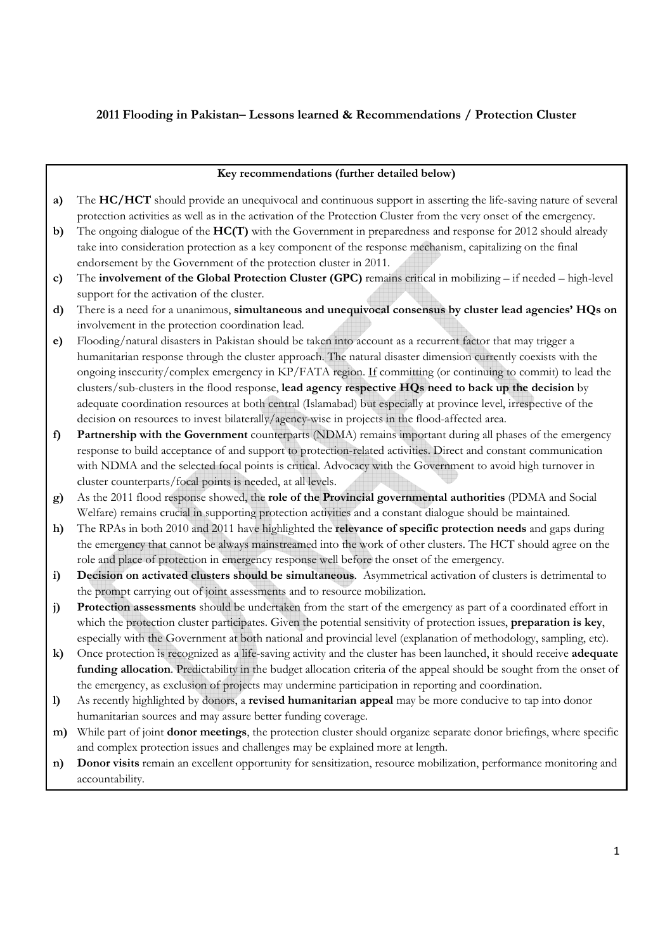# 2011 Flooding in Pakistan– Lessons learned & Recommendations / Protection Cluster

#### Key recommendations (further detailed below)

- a) The HC/HCT should provide an unequivocal and continuous support in asserting the life-saving nature of several protection activities as well as in the activation of the Protection Cluster from the very onset of the emergency.
- b) The ongoing dialogue of the **HC(T)** with the Government in preparedness and response for 2012 should already take into consideration protection as a key component of the response mechanism, capitalizing on the final endorsement by the Government of the protection cluster in 2011.
- c) The involvement of the Global Protection Cluster (GPC) remains critical in mobilizing if needed high-level support for the activation of the cluster.
- d) There is a need for a unanimous, simultaneous and unequivocal consensus by cluster lead agencies' HQs on involvement in the protection coordination lead.
- e) Flooding/natural disasters in Pakistan should be taken into account as a recurrent factor that may trigger a humanitarian response through the cluster approach. The natural disaster dimension currently coexists with the ongoing insecurity/complex emergency in KP/FATA region. If committing (or continuing to commit) to lead the clusters/sub-clusters in the flood response, lead agency respective HQs need to back up the decision by adequate coordination resources at both central (Islamabad) but especially at province level, irrespective of the decision on resources to invest bilaterally/agency-wise in projects in the flood-affected area.
- f) Partnership with the Government counterparts (NDMA) remains important during all phases of the emergency response to build acceptance of and support to protection-related activities. Direct and constant communication with NDMA and the selected focal points is critical. Advocacy with the Government to avoid high turnover in cluster counterparts/focal points is needed, at all levels.
- g) As the 2011 flood response showed, the role of the Provincial governmental authorities (PDMA and Social Welfare) remains crucial in supporting protection activities and a constant dialogue should be maintained.
- h) The RPAs in both 2010 and 2011 have highlighted the relevance of specific protection needs and gaps during the emergency that cannot be always mainstreamed into the work of other clusters. The HCT should agree on the role and place of protection in emergency response well before the onset of the emergency.
- i) Decision on activated clusters should be simultaneous. Asymmetrical activation of clusters is detrimental to the prompt carrying out of joint assessments and to resource mobilization.
- j) Protection assessments should be undertaken from the start of the emergency as part of a coordinated effort in which the protection cluster participates. Given the potential sensitivity of protection issues, preparation is key, especially with the Government at both national and provincial level (explanation of methodology, sampling, etc).
- k) Once protection is recognized as a life-saving activity and the cluster has been launched, it should receive adequate funding allocation. Predictability in the budget allocation criteria of the appeal should be sought from the onset of the emergency, as exclusion of projects may undermine participation in reporting and coordination.
- l) As recently highlighted by donors, a revised humanitarian appeal may be more conducive to tap into donor humanitarian sources and may assure better funding coverage.
- m) While part of joint **donor meetings**, the protection cluster should organize separate donor briefings, where specific and complex protection issues and challenges may be explained more at length.
- n) Donor visits remain an excellent opportunity for sensitization, resource mobilization, performance monitoring and accountability.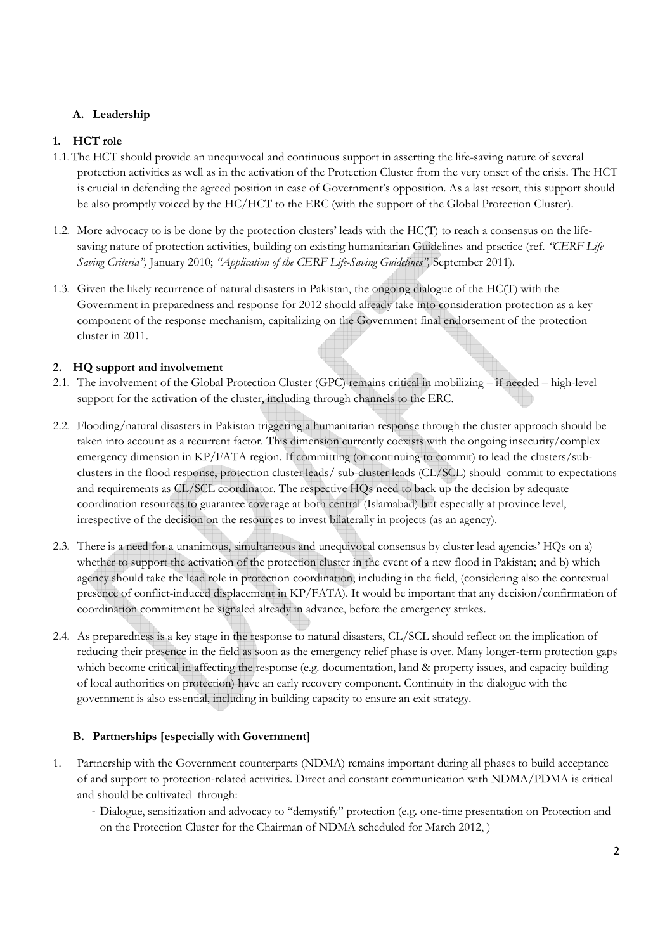## A. Leadership

## 1. HCT role

- 1.1.The HCT should provide an unequivocal and continuous support in asserting the life-saving nature of several protection activities as well as in the activation of the Protection Cluster from the very onset of the crisis. The HCT is crucial in defending the agreed position in case of Government's opposition. As a last resort, this support should be also promptly voiced by the HC/HCT to the ERC (with the support of the Global Protection Cluster).
- 1.2. More advocacy to is be done by the protection clusters' leads with the HC(T) to reach a consensus on the lifesaving nature of protection activities, building on existing humanitarian Guidelines and practice (ref. "CERF Life") Saving Criteria", January 2010; "Application of the CERF Life-Saving Guidelines", September 2011).
- 1.3. Given the likely recurrence of natural disasters in Pakistan, the ongoing dialogue of the HC(T) with the Government in preparedness and response for 2012 should already take into consideration protection as a key component of the response mechanism, capitalizing on the Government final endorsement of the protection cluster in 2011.

## 2. HQ support and involvement

- 2.1. The involvement of the Global Protection Cluster (GPC) remains critical in mobilizing if needed high-level support for the activation of the cluster, including through channels to the ERC.
- 2.2. Flooding/natural disasters in Pakistan triggering a humanitarian response through the cluster approach should be taken into account as a recurrent factor. This dimension currently coexists with the ongoing insecurity/complex emergency dimension in KP/FATA region. If committing (or continuing to commit) to lead the clusters/subclusters in the flood response, protection cluster leads/ sub-cluster leads (CL/SCL) should commit to expectations and requirements as CL/SCL coordinator. The respective HQs need to back up the decision by adequate coordination resources to guarantee coverage at both central (Islamabad) but especially at province level, irrespective of the decision on the resources to invest bilaterally in projects (as an agency).
- 2.3. There is a need for a unanimous, simultaneous and unequivocal consensus by cluster lead agencies' HQs on a) whether to support the activation of the protection cluster in the event of a new flood in Pakistan; and b) which agency should take the lead role in protection coordination, including in the field, (considering also the contextual presence of conflict-induced displacement in KP/FATA). It would be important that any decision/confirmation of coordination commitment be signaled already in advance, before the emergency strikes.
- 2.4. As preparedness is a key stage in the response to natural disasters, CL/SCL should reflect on the implication of reducing their presence in the field as soon as the emergency relief phase is over. Many longer-term protection gaps which become critical in affecting the response (e.g. documentation, land & property issues, and capacity building of local authorities on protection) have an early recovery component. Continuity in the dialogue with the government is also essential, including in building capacity to ensure an exit strategy.

## B. Partnerships [especially with Government]

- 1. Partnership with the Government counterparts (NDMA) remains important during all phases to build acceptance of and support to protection-related activities. Direct and constant communication with NDMA/PDMA is critical and should be cultivated through:
	- Dialogue, sensitization and advocacy to "demystify" protection (e.g. one-time presentation on Protection and on the Protection Cluster for the Chairman of NDMA scheduled for March 2012, )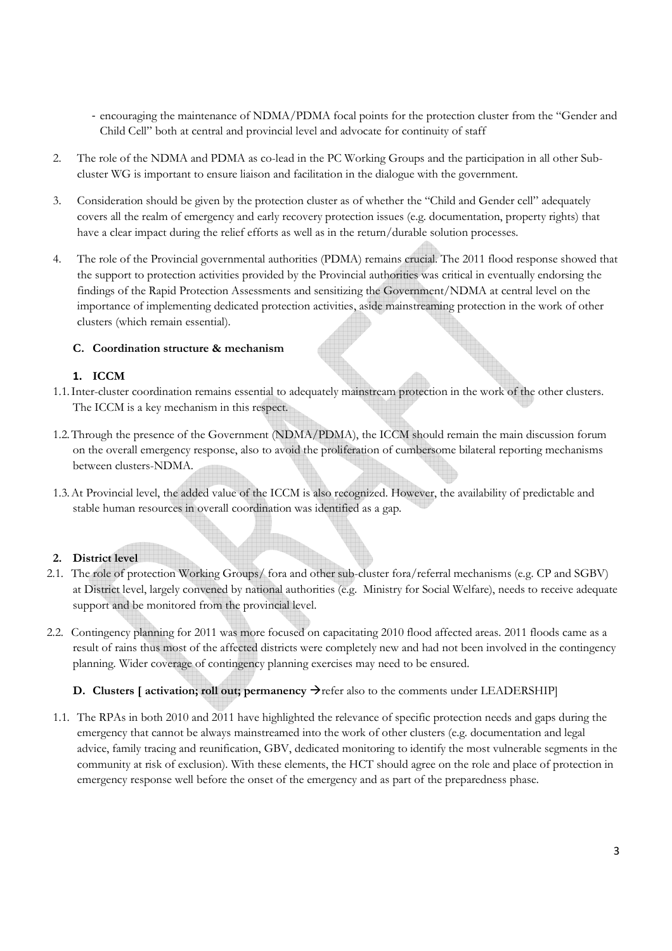- encouraging the maintenance of NDMA/PDMA focal points for the protection cluster from the "Gender and Child Cell" both at central and provincial level and advocate for continuity of staff
- 2. The role of the NDMA and PDMA as co-lead in the PC Working Groups and the participation in all other Subcluster WG is important to ensure liaison and facilitation in the dialogue with the government.
- 3. Consideration should be given by the protection cluster as of whether the "Child and Gender cell" adequately covers all the realm of emergency and early recovery protection issues (e.g. documentation, property rights) that have a clear impact during the relief efforts as well as in the return/durable solution processes.
- 4. The role of the Provincial governmental authorities (PDMA) remains crucial. The 2011 flood response showed that the support to protection activities provided by the Provincial authorities was critical in eventually endorsing the findings of the Rapid Protection Assessments and sensitizing the Government/NDMA at central level on the importance of implementing dedicated protection activities, aside mainstreaming protection in the work of other clusters (which remain essential).

## C. Coordination structure & mechanism

## 1. ICCM

- 1.1.Inter-cluster coordination remains essential to adequately mainstream protection in the work of the other clusters. The ICCM is a key mechanism in this respect.
- 1.2.Through the presence of the Government (NDMA/PDMA), the ICCM should remain the main discussion forum on the overall emergency response, also to avoid the proliferation of cumbersome bilateral reporting mechanisms between clusters-NDMA.
- 1.3.At Provincial level, the added value of the ICCM is also recognized. However, the availability of predictable and stable human resources in overall coordination was identified as a gap.

#### 2. District level

- 2.1. The role of protection Working Groups/ fora and other sub-cluster fora/referral mechanisms (e.g. CP and SGBV) at District level, largely convened by national authorities (e.g. Ministry for Social Welfare), needs to receive adequate support and be monitored from the provincial level.
- 2.2. Contingency planning for 2011 was more focused on capacitating 2010 flood affected areas. 2011 floods came as a result of rains thus most of the affected districts were completely new and had not been involved in the contingency planning. Wider coverage of contingency planning exercises may need to be ensured.

## D. Clusters [ activation; roll out; permanency  $\rightarrow$  refer also to the comments under LEADERSHIP]

1.1. The RPAs in both 2010 and 2011 have highlighted the relevance of specific protection needs and gaps during the emergency that cannot be always mainstreamed into the work of other clusters (e.g. documentation and legal advice, family tracing and reunification, GBV, dedicated monitoring to identify the most vulnerable segments in the community at risk of exclusion). With these elements, the HCT should agree on the role and place of protection in emergency response well before the onset of the emergency and as part of the preparedness phase.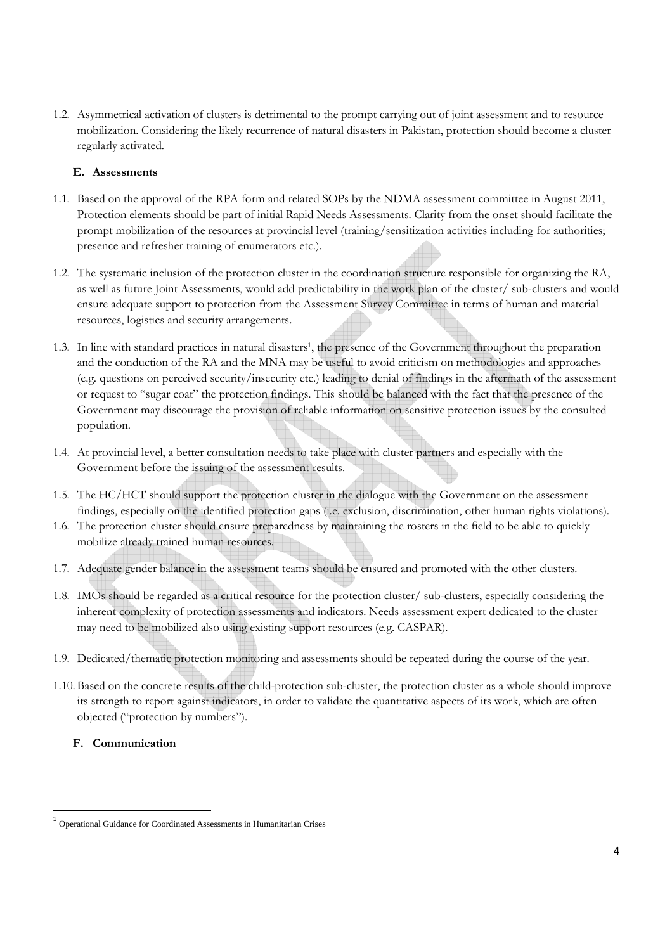1.2. Asymmetrical activation of clusters is detrimental to the prompt carrying out of joint assessment and to resource mobilization. Considering the likely recurrence of natural disasters in Pakistan, protection should become a cluster regularly activated.

#### E. Assessments

- 1.1. Based on the approval of the RPA form and related SOPs by the NDMA assessment committee in August 2011, Protection elements should be part of initial Rapid Needs Assessments. Clarity from the onset should facilitate the prompt mobilization of the resources at provincial level (training/sensitization activities including for authorities; presence and refresher training of enumerators etc.).
- 1.2. The systematic inclusion of the protection cluster in the coordination structure responsible for organizing the RA, as well as future Joint Assessments, would add predictability in the work plan of the cluster/ sub-clusters and would ensure adequate support to protection from the Assessment Survey Committee in terms of human and material resources, logistics and security arrangements.
- 1.3. In line with standard practices in natural disasters 1 , the presence of the Government throughout the preparation and the conduction of the RA and the MNA may be useful to avoid criticism on methodologies and approaches (e.g. questions on perceived security/insecurity etc.) leading to denial of findings in the aftermath of the assessment or request to "sugar coat" the protection findings. This should be balanced with the fact that the presence of the Government may discourage the provision of reliable information on sensitive protection issues by the consulted population.
- 1.4. At provincial level, a better consultation needs to take place with cluster partners and especially with the Government before the issuing of the assessment results.
- 1.5. The HC/HCT should support the protection cluster in the dialogue with the Government on the assessment findings, especially on the identified protection gaps (i.e. exclusion, discrimination, other human rights violations).
- 1.6. The protection cluster should ensure preparedness by maintaining the rosters in the field to be able to quickly mobilize already trained human resources.
- 1.7. Adequate gender balance in the assessment teams should be ensured and promoted with the other clusters.
- 1.8. IMOs should be regarded as a critical resource for the protection cluster/ sub-clusters, especially considering the inherent complexity of protection assessments and indicators. Needs assessment expert dedicated to the cluster may need to be mobilized also using existing support resources (e.g. CASPAR).
- 1.9. Dedicated/thematic protection monitoring and assessments should be repeated during the course of the year.
- 1.10.Based on the concrete results of the child-protection sub-cluster, the protection cluster as a whole should improve its strength to report against indicators, in order to validate the quantitative aspects of its work, which are often objected ("protection by numbers").

## F. Communication

 $\overline{a}$ 

<sup>1</sup> Operational Guidance for Coordinated Assessments in Humanitarian Crises